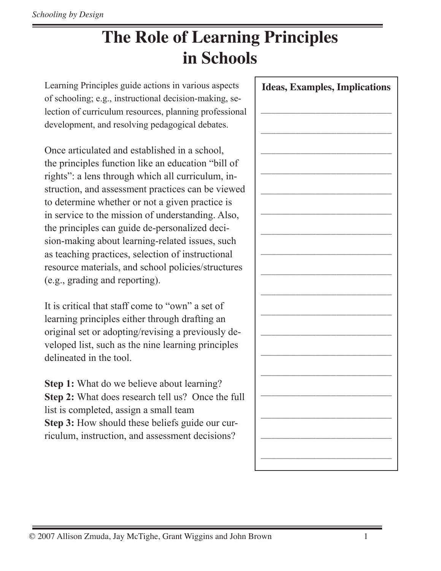## **The Role of Learning Principles in Schools**

Learning Principles guide actions in various aspects of schooling; e.g., instructional decision-making, selection of curriculum resources, planning professional development, and resolving pedagogical debates.

Once articulated and established in a school, the principles function like an education "bill of rights": a lens through which all curriculum, instruction, and assessment practices can be viewed to determine whether or not a given practice is in service to the mission of understanding. Also, the principles can guide de-personalized decision-making about learning-related issues, such as teaching practices, selection of instructional resource materials, and school policies/structures (e.g., grading and reporting).

It is critical that staff come to "own" a set of learning principles either through drafting an original set or adopting/revising a previously developed list, such as the nine learning principles delineated in the tool.

**Step 1:** What do we believe about learning? **Step 2:** What does research tell us? Once the full list is completed, assign a small team **Step 3:** How should these beliefs guide our curriculum, instruction, and assessment decisions?

| <b>Ideas, Examples, Implications</b> |  |  |
|--------------------------------------|--|--|
|                                      |  |  |
|                                      |  |  |
|                                      |  |  |
|                                      |  |  |
|                                      |  |  |
|                                      |  |  |
|                                      |  |  |
|                                      |  |  |
|                                      |  |  |
|                                      |  |  |
|                                      |  |  |
|                                      |  |  |
|                                      |  |  |
|                                      |  |  |
|                                      |  |  |
|                                      |  |  |
|                                      |  |  |
|                                      |  |  |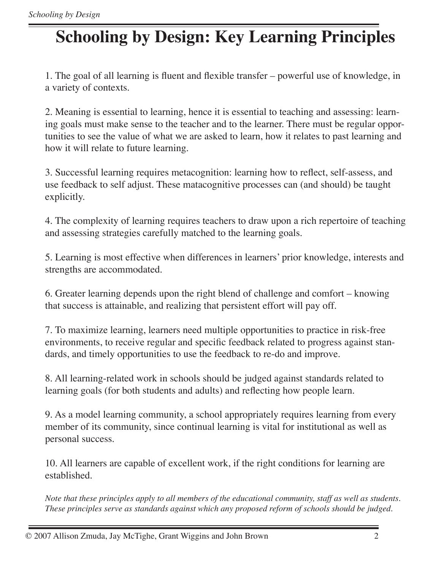# **Schooling by Design: Key Learning Principles**

1. The goal of all learning is fluent and flexible transfer – powerful use of knowledge, in a variety of contexts.

2. Meaning is essential to learning, hence it is essential to teaching and assessing: learning goals must make sense to the teacher and to the learner. There must be regular opportunities to see the value of what we are asked to learn, how it relates to past learning and how it will relate to future learning.

3. Successful learning requires metacognition: learning how to reflect, self-assess, and use feedback to self adjust. These matacognitive processes can (and should) be taught explicitly.

4. The complexity of learning requires teachers to draw upon a rich repertoire of teaching and assessing strategies carefully matched to the learning goals.

5. Learning is most effective when differences in learners' prior knowledge, interests and strengths are accommodated.

6. Greater learning depends upon the right blend of challenge and comfort – knowing that success is attainable, and realizing that persistent effort will pay off.

7. To maximize learning, learners need multiple opportunities to practice in risk-free environments, to receive regular and specific feedback related to progress against standards, and timely opportunities to use the feedback to re-do and improve.

8. All learning-related work in schools should be judged against standards related to learning goals (for both students and adults) and reflecting how people learn.

9. As a model learning community, a school appropriately requires learning from every member of its community, since continual learning is vital for institutional as well as personal success.

10. All learners are capable of excellent work, if the right conditions for learning are established.

*Note that these principles apply to all members of the educational community, staff as well as students. These principles serve as standards against which any proposed reform of schools should be judged.*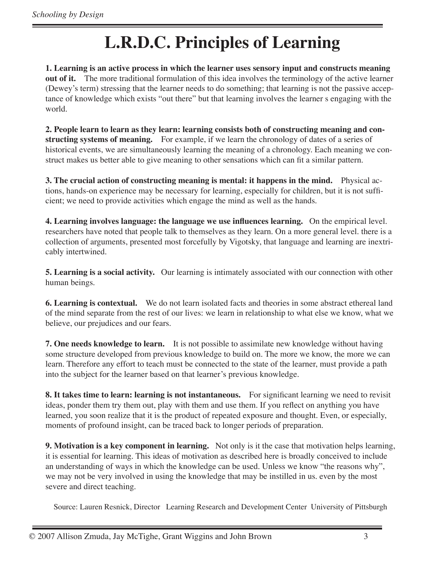### **L.R.D.C. Principles of Learning**

**1. Learning is an active process in which the learner uses sensory input and constructs meaning out of it.** The more traditional formulation of this idea involves the terminology of the active learner (Dewey's term) stressing that the learner needs to do something; that learning is not the passive acceptance of knowledge which exists "out there" but that learning involves the learner s engaging with the world.

**2. People learn to learn as they learn: learning consists both of constructing meaning and constructing systems of meaning.** For example, if we learn the chronology of dates of a series of historical events, we are simultaneously learning the meaning of a chronology. Each meaning we construct makes us better able to give meaning to other sensations which can fit a similar pattern.

**3. The crucial action of constructing meaning is mental: it happens in the mind.** Physical actions, hands-on experience may be necessary for learning, especially for children, but it is not sufficient; we need to provide activities which engage the mind as well as the hands.

**4. Learning involves language: the language we use influences learning.** On the empirical level. researchers have noted that people talk to themselves as they learn. On a more general level. there is a collection of arguments, presented most forcefully by Vigotsky, that language and learning are inextricably intertwined.

**5. Learning is a social activity.** Our learning is intimately associated with our connection with other human beings.

**6. Learning is contextual.** We do not learn isolated facts and theories in some abstract ethereal land of the mind separate from the rest of our lives: we learn in relationship to what else we know, what we believe, our prejudices and our fears.

**7. One needs knowledge to learn.** It is not possible to assimilate new knowledge without having some structure developed from previous knowledge to build on. The more we know, the more we can learn. Therefore any effort to teach must be connected to the state of the learner, must provide a path into the subject for the learner based on that learner's previous knowledge.

**8. It takes time to learn: learning is not instantaneous.** For significant learning we need to revisit ideas, ponder them try them out, play with them and use them. If you reflect on anything you have learned, you soon realize that it is the product of repeated exposure and thought. Even, or especially, moments of profound insight, can be traced back to longer periods of preparation.

**9. Motivation is a key component in learning.** Not only is it the case that motivation helps learning, it is essential for learning. This ideas of motivation as described here is broadly conceived to include an understanding of ways in which the knowledge can be used. Unless we know "the reasons why", we may not be very involved in using the knowledge that may be instilled in us. even by the most severe and direct teaching.

Source: Lauren Resnick, Director Learning Research and Development Center University of Pittsburgh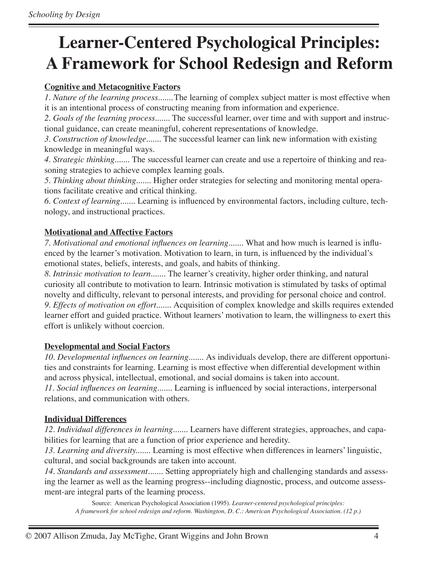### **Learner-Centered Psychological Principles: A Framework for School Redesign and Reform**

#### **Cognitive and Metacognitive Factors**

*1. Nature of the learning process.......*The learning of complex subject matter is most effective when it is an intentional process of constructing meaning from information and experience.

*2. Goals of the learning process.......* The successful learner, over time and with support and instructional guidance, can create meaningful, coherent representations of knowledge.

*3. Construction of knowledge.......* The successful learner can link new information with existing knowledge in meaningful ways.

*4. Strategic thinking.......* The successful learner can create and use a repertoire of thinking and reasoning strategies to achieve complex learning goals.

*5. Thinking about thinking.......* Higher order strategies for selecting and monitoring mental operations facilitate creative and critical thinking.

*6. Context of learning.......* Learning is influenced by environmental factors, including culture, technology, and instructional practices.

#### **Motivational and Affective Factors**

*7. Motivational and emotional influences on learning.......* What and how much is learned is influenced by the learner's motivation. Motivation to learn, in turn, is influenced by the individual's emotional states, beliefs, interests, and goals, and habits of thinking.

*8. Intrinsic motivation to learn.......* The learner's creativity, higher order thinking, and natural curiosity all contribute to motivation to learn. Intrinsic motivation is stimulated by tasks of optimal novelty and difficulty, relevant to personal interests, and providing for personal choice and control. *9. Effects of motivation on effort.......* Acquisition of complex knowledge and skills requires extended learner effort and guided practice. Without learners' motivation to learn, the willingness to exert this effort is unlikely without coercion.

#### **Developmental and Social Factors**

*10. Developmental influences on learning.......* As individuals develop, there are different opportunities and constraints for learning. Learning is most effective when differential development within and across physical, intellectual, emotional, and social domains is taken into account. *11. Social influences on learning.......* Learning is influenced by social interactions, interpersonal relations, and communication with others.

#### **Individual Differences**

*12. Individual differences in learning.......* Learners have different strategies, approaches, and capabilities for learning that are a function of prior experience and heredity.

*13. Learning and diversity.......* Learning is most effective when differences in learners' linguistic, cultural, and social backgrounds are taken into account.

*14. Standards and assessment.......* Setting appropriately high and challenging standards and assessing the learner as well as the learning progress--including diagnostic, process, and outcome assessment-are integral parts of the learning process.

Source: American Psychological Association (1995). *Learner-centered psychological principles: A framework for school redesign and reform. Washington, D. C.: American Psychological Association. (12 p.)*